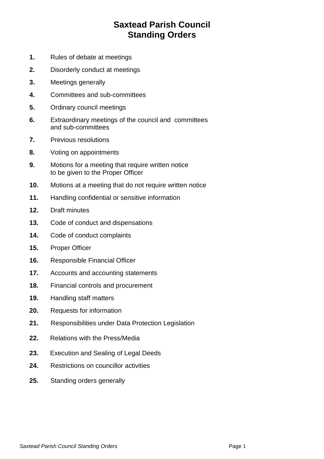## **Saxtead Parish Council Standing Orders**

- **1.** Rules of debate at meetings
- **2.** Disorderly conduct at meetings
- **3.** Meetings generally
- **4.** Committees and sub-committees
- **5.** Ordinary council meetings
- **6.** Extraordinary meetings of the council and committees and sub-committees
- **7.** Previous resolutions
- **8.** Voting on appointments
- **9.** Motions for a meeting that require written notice to be given to the Proper Officer
- **10.** Motions at a meeting that do not require written notice
- **11.** Handling confidential or sensitive information
- **12.** Draft minutes
- **13.** Code of conduct and dispensations
- **14.** Code of conduct complaints
- **15.** Proper Officer
- **16.** Responsible Financial Officer
- **17.** Accounts and accounting statements
- **18.** Financial controls and procurement
- **19.** Handling staff matters
- **20.** Requests for information
- **21.** Responsibilities under Data Protection Legislation
- **22.** Relations with the Press/Media
- **23.** Execution and Sealing of Legal Deeds
- **24.** Restrictions on councillor activities
- **25.** Standing orders generally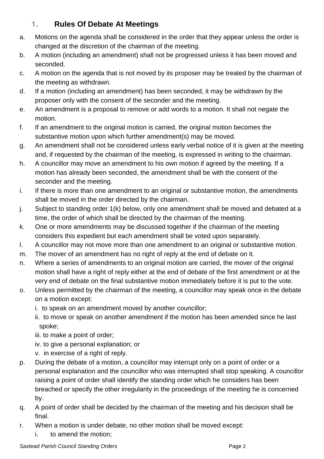### **1. Rules Of Debate At Meetings**

- a. Motions on the agenda shall be considered in the order that they appear unless the order is changed at the discretion of the chairman of the meeting.
- b. A motion (including an amendment) shall not be progressed unless it has been moved and seconded.
- c. A motion on the agenda that is not moved by its proposer may be treated by the chairman of the meeting as withdrawn.
- d. If a motion (including an amendment) has been seconded, it may be withdrawn by the proposer only with the consent of the seconder and the meeting.
- e. An amendment is a proposal to remove or add words to a motion. It shall not negate the motion.
- f. If an amendment to the original motion is carried, the original motion becomes the substantive motion upon which further amendment(s) may be moved.
- g. An amendment shall not be considered unless early verbal notice of it is given at the meeting and, if requested by the chairman of the meeting, is expressed in writing to the chairman.
- h. A councillor may move an amendment to his own motion if agreed by the meeting. If a motion has already been seconded, the amendment shall be with the consent of the seconder and the meeting.
- i. If there is more than one amendment to an original or substantive motion, the amendments shall be moved in the order directed by the chairman.
- j. Subject to standing order 1(k) below, only one amendment shall be moved and debated at a time, the order of which shall be directed by the chairman of the meeting.
- k. One or more amendments may be discussed together if the chairman of the meeting considers this expedient but each amendment shall be voted upon separately.
- l. A councillor may not move more than one amendment to an original or substantive motion.
- m. The mover of an amendment has no right of reply at the end of debate on it.
- n. Where a series of amendments to an original motion are carried, the mover of the original motion shall have a right of reply either at the end of debate of the first amendment or at the very end of debate on the final substantive motion immediately before it is put to the vote.
- o. Unless permitted by the chairman of the meeting, a councillor may speak once in the debate on a motion except:
	- i. to speak on an amendment moved by another councillor;
	- ii. to move or speak on another amendment if the motion has been amended since he last spoke;
	- iii. to make a point of order;
	- iv. to give a personal explanation; or
	- v. in exercise of a right of reply.
- p. During the debate of a motion, a councillor may interrupt only on a point of order or a personal explanation and the councillor who was interrupted shall stop speaking. A councillor raising a point of order shall identify the standing order which he considers has been breached or specify the other irregularity in the proceedings of the meeting he is concerned by.
- q. A point of order shall be decided by the chairman of the meeting and his decision shall be final.
- r. When a motion is under debate, no other motion shall be moved except:
	- i. to amend the motion;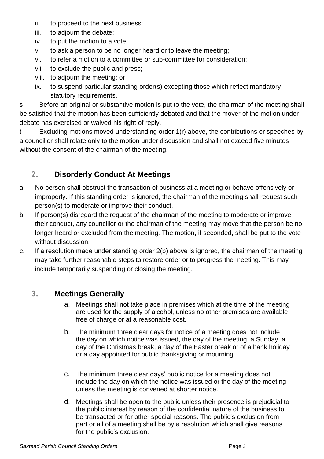- ii. to proceed to the next business;
- iii. to adjourn the debate;
- iv. to put the motion to a vote;
- v. to ask a person to be no longer heard or to leave the meeting;
- vi. to refer a motion to a committee or sub-committee for consideration;
- vii. to exclude the public and press;
- viii. to adjourn the meeting; or
- ix. to suspend particular standing order(s) excepting those which reflect mandatory statutory requirements.

s Before an original or substantive motion is put to the vote, the chairman of the meeting shall be satisfied that the motion has been sufficiently debated and that the mover of the motion under debate has exercised or waived his right of reply.

t Excluding motions moved understanding order 1(r) above, the contributions or speeches by a councillor shall relate only to the motion under discussion and shall not exceed five minutes without the consent of the chairman of the meeting.

### **2. Disorderly Conduct At Meetings**

- a. No person shall obstruct the transaction of business at a meeting or behave offensively or improperly. If this standing order is ignored, the chairman of the meeting shall request such person(s) to moderate or improve their conduct.
- b. If person(s) disregard the request of the chairman of the meeting to moderate or improve their conduct, any councillor or the chairman of the meeting may move that the person be no longer heard or excluded from the meeting. The motion, if seconded, shall be put to the vote without discussion.
- c. If a resolution made under standing order 2(b) above is ignored, the chairman of the meeting may take further reasonable steps to restore order or to progress the meeting. This may include temporarily suspending or closing the meeting.

#### **3. Meetings Generally**

- a. Meetings shall not take place in premises which at the time of the meeting are used for the supply of alcohol, unless no other premises are available free of charge or at a reasonable cost.
- b. The minimum three clear days for notice of a meeting does not include the day on which notice was issued, the day of the meeting, a Sunday, a day of the Christmas break, a day of the Easter break or of a bank holiday or a day appointed for public thanksgiving or mourning.
- c. The minimum three clear days' public notice for a meeting does not include the day on which the notice was issued or the day of the meeting unless the meeting is convened at shorter notice.
- d. Meetings shall be open to the public unless their presence is prejudicial to the public interest by reason of the confidential nature of the business to be transacted or for other special reasons. The public's exclusion from part or all of a meeting shall be by a resolution which shall give reasons for the public's exclusion.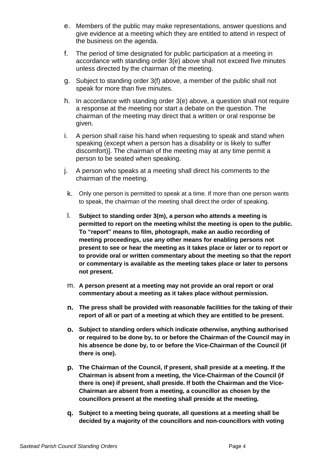- e. Members of the public may make representations, answer questions and give evidence at a meeting which they are entitled to attend in respect of the business on the agenda.
- f. The period of time designated for public participation at a meeting in accordance with standing order 3(e) above shall not exceed five minutes unless directed by the chairman of the meeting.
- g. Subject to standing order 3(f) above, a member of the public shall not speak for more than five minutes.
- h. In accordance with standing order 3(e) above, a question shall not require a response at the meeting nor start a debate on the question. The chairman of the meeting may direct that a written or oral response be given.
- i. A person shall raise his hand when requesting to speak and stand when speaking (except when a person has a disability or is likely to suffer discomfort)]. The chairman of the meeting may at any time permit a person to be seated when speaking.
- j. A person who speaks at a meeting shall direct his comments to the chairman of the meeting.
- k. Only one person is permitted to speak at a time. If more than one person wants to speak, the chairman of the meeting shall direct the order of speaking.
- l. **Subject to standing order 3(m), a person who attends a meeting is permitted to report on the meeting whilst the meeting is open to the public. To "report" means to film, photograph, make an audio recording of meeting proceedings, use any other means for enabling persons not present to see or hear the meeting as it takes place or later or to report or to provide oral or written commentary about the meeting so that the report or commentary is available as the meeting takes place or later to persons not present.**
- m. **A person present at a meeting may not provide an oral report or oral commentary about a meeting as it takes place without permission.**
- **n. The press shall be provided with reasonable facilities for the taking of their report of all or part of a meeting at which they are entitled to be present.**
- **o. Subject to standing orders which indicate otherwise, anything authorised or required to be done by, to or before the Chairman of the Council may in his absence be done by, to or before the Vice-Chairman of the Council (if there is one).**
- **p. The Chairman of the Council, if present, shall preside at a meeting. If the Chairman is absent from a meeting, the Vice-Chairman of the Council (if there is one) if present, shall preside. If both the Chairman and the Vice-Chairman are absent from a meeting, a councillor as chosen by the councillors present at the meeting shall preside at the meeting.**
- **q. Subject to a meeting being quorate, all questions at a meeting shall be decided by a majority of the councillors and non-councillors with voting**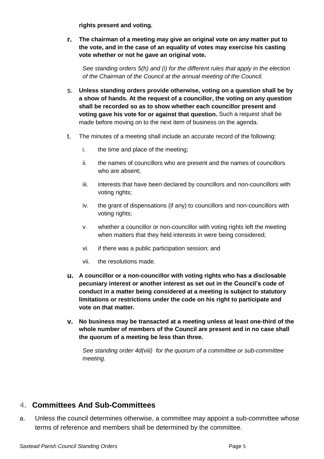**rights present and voting.**

**r. The chairman of a meeting may give an original vote on any matter put to the vote, and in the case of an equality of votes may exercise his casting vote whether or not he gave an original vote.**

*See standing orders 5(h) and (i) for the different rules that apply in the election of the Chairman of the Council at the annual meeting of the Council.*

- s. **Unless standing orders provide otherwise, voting on a question shall be by a show of hands. At the request of a councillor, the voting on any question shall be recorded so as to show whether each councillor present and voting gave his vote for or against that question.** Such a request shall be made before moving on to the next item of business on the agenda.
- t. The minutes of a meeting shall include an accurate record of the following:
	- i. the time and place of the meeting;
	- ii. the names of councillors who are present and the names of councillors who are absent;
	- iii. interests that have been declared by councillors and non-councillors with voting rights;
	- iv. the grant of dispensations (if any) to councillors and non-councillors with voting rights;
	- v. whether a councillor or non-councillor with voting rights left the meeting when matters that they held interests in were being considered;
	- vi. if there was a public participation session; and
	- vii. the resolutions made.
- **u. A councillor or a non-councillor with voting rights who has a disclosable pecuniary interest or another interest as set out in the Council's code of conduct in a matter being considered at a meeting is subject to statutory limitations or restrictions under the code on his right to participate and vote on that matter.**
- **v. No business may be transacted at a meeting unless at least one-third of the whole number of members of the Council are present and in no case shall the quorum of a meeting be less than three.**

*See standing order 4d(viii) for the quorum of a committee or sub-committee meeting.*

#### **4. Committees And Sub-Committees**

a. Unless the council determines otherwise, a committee may appoint a sub-committee whose terms of reference and members shall be determined by the committee.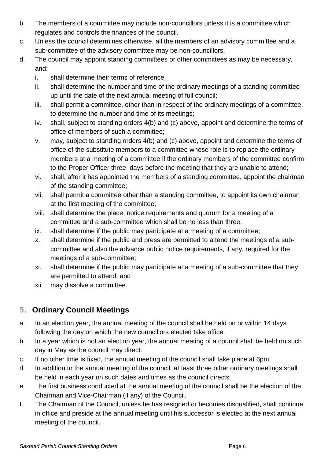- b. The members of a committee may include non-councillors unless it is a committee which regulates and controls the finances of the council.
- c. Unless the council determines otherwise, all the members of an advisory committee and a sub-committee of the advisory committee may be non-councillors.
- d. The council may appoint standing committees or other committees as may be necessary, and:
	- i. shall determine their terms of reference;
	- ii. shall determine the number and time of the ordinary meetings of a standing committee up until the date of the next annual meeting of full council;
	- iii. shall permit a committee, other than in respect of the ordinary meetings of a committee, to determine the number and time of its meetings;
	- iv. shall, subject to standing orders 4(b) and (c) above, appoint and determine the terms of office of members of such a committee;
	- v. may, subject to standing orders 4(b) and (c) above, appoint and determine the terms of office of the substitute members to a committee whose role is to replace the ordinary members at a meeting of a committee if the ordinary members of the committee confirm to the Proper Officer three days before the meeting that they are unable to attend;
	- vi. shall, after it has appointed the members of a standing committee, appoint the chairman of the standing committee;
	- vii. shall permit a committee other than a standing committee, to appoint its own chairman at the first meeting of the committee;
	- viii. shall determine the place, notice requirements and quorum for a meeting of a committee and a sub-committee which shall be no less than three;
	- ix. shall determine if the public may participate at a meeting of a committee;
	- x. shall determine if the public and press are permitted to attend the meetings of a subcommittee and also the advance public notice requirements, if any, required for the meetings of a sub-committee;
	- xi. shall determine if the public may participate at a meeting of a sub-committee that they are permitted to attend; and
	- xii. may dissolve a committee.

### **5. Ordinary Council Meetings**

- a. In an election year, the annual meeting of the council shall be held on or within 14 days following the day on which the new councillors elected take office.
- b. In a year which is not an election year, the annual meeting of a council shall be held on such day in May as the council may direct.
- c. If no other time is fixed, the annual meeting of the council shall take place at 6pm.
- d. In addition to the annual meeting of the council, at least three other ordinary meetings shall be held in each year on such dates and times as the council directs.
- e. The first business conducted at the annual meeting of the council shall be the election of the Chairman and Vice-Chairman (if any) of the Council.
- f. The Chairman of the Council, unless he has resigned or becomes disqualified, shall continue in office and preside at the annual meeting until his successor is elected at the next annual meeting of the council.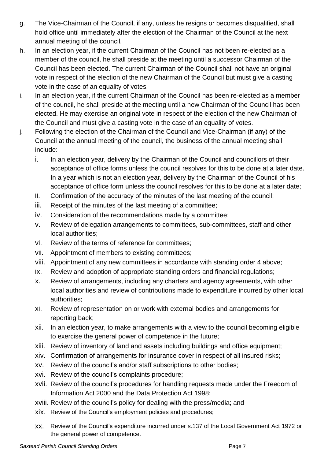- g. The Vice-Chairman of the Council, if any, unless he resigns or becomes disqualified, shall hold office until immediately after the election of the Chairman of the Council at the next annual meeting of the council.
- h. In an election year, if the current Chairman of the Council has not been re-elected as a member of the council, he shall preside at the meeting until a successor Chairman of the Council has been elected. The current Chairman of the Council shall not have an original vote in respect of the election of the new Chairman of the Council but must give a casting vote in the case of an equality of votes.
- i. In an election year, if the current Chairman of the Council has been re-elected as a member of the council, he shall preside at the meeting until a new Chairman of the Council has been elected. He may exercise an original vote in respect of the election of the new Chairman of the Council and must give a casting vote in the case of an equality of votes.
- j. Following the election of the Chairman of the Council and Vice-Chairman (if any) of the Council at the annual meeting of the council, the business of the annual meeting shall include:
	- i. In an election year, delivery by the Chairman of the Council and councillors of their acceptance of office forms unless the council resolves for this to be done at a later date. In a year which is not an election year, delivery by the Chairman of the Council of his acceptance of office form unless the council resolves for this to be done at a later date;
	- ii. Confirmation of the accuracy of the minutes of the last meeting of the council;
	- iii. Receipt of the minutes of the last meeting of a committee;
	- iv. Consideration of the recommendations made by a committee;
	- v. Review of delegation arrangements to committees, sub-committees, staff and other local authorities;
	- vi. Review of the terms of reference for committees;
	- vii. Appointment of members to existing committees;
	- viii. Appointment of any new committees in accordance with standing order 4 above;
	- ix. Review and adoption of appropriate standing orders and financial regulations;
	- x. Review of arrangements, including any charters and agency agreements, with other local authorities and review of contributions made to expenditure incurred by other local authorities;
	- xi. Review of representation on or work with external bodies and arrangements for reporting back;
	- xii. In an election year, to make arrangements with a view to the council becoming eligible to exercise the general power of competence in the future;
	- xiii. Review of inventory of land and assets including buildings and office equipment;
	- xiv. Confirmation of arrangements for insurance cover in respect of all insured risks;
	- xv. Review of the council's and/or staff subscriptions to other bodies;
	- xvi. Review of the council's complaints procedure;
	- xvii. Review of the council's procedures for handling requests made under the Freedom of Information Act 2000 and the Data Protection Act 1998;
	- xviii. Review of the council's policy for dealing with the press/media; and
	- xix. Review of the Council's employment policies and procedures;
	- xx. Review of the Council's expenditure incurred under s.137 of the Local Government Act 1972 or the general power of competence.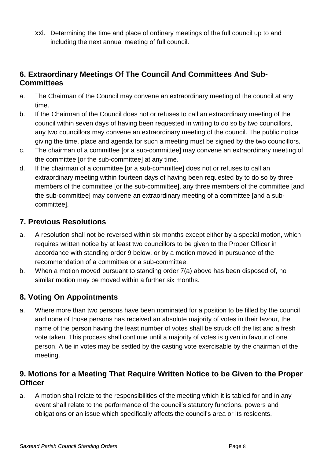xxi. Determining the time and place of ordinary meetings of the full council up to and including the next annual meeting of full council.

#### **6. Extraordinary Meetings Of The Council And Committees And Sub-Committees**

- a. The Chairman of the Council may convene an extraordinary meeting of the council at any time.
- b. If the Chairman of the Council does not or refuses to call an extraordinary meeting of the council within seven days of having been requested in writing to do so by two councillors, any two councillors may convene an extraordinary meeting of the council. The public notice giving the time, place and agenda for such a meeting must be signed by the two councillors.
- c. The chairman of a committee [or a sub-committee] may convene an extraordinary meeting of the committee [or the sub-committee] at any time.
- d. If the chairman of a committee [or a sub-committee] does not or refuses to call an extraordinary meeting within fourteen days of having been requested by to do so by three members of the committee [or the sub-committee], any three members of the committee [and the sub-committee] may convene an extraordinary meeting of a committee [and a subcommittee].

#### **7. Previous Resolutions**

- a. A resolution shall not be reversed within six months except either by a special motion, which requires written notice by at least two councillors to be given to the Proper Officer in accordance with standing order 9 below, or by a motion moved in pursuance of the recommendation of a committee or a sub-committee.
- b. When a motion moved pursuant to standing order 7(a) above has been disposed of, no similar motion may be moved within a further six months.

#### **8. Voting On Appointments**

a. Where more than two persons have been nominated for a position to be filled by the council and none of those persons has received an absolute majority of votes in their favour, the name of the person having the least number of votes shall be struck off the list and a fresh vote taken. This process shall continue until a majority of votes is given in favour of one person. A tie in votes may be settled by the casting vote exercisable by the chairman of the meeting.

#### **9. Motions for a Meeting That Require Written Notice to be Given to the Proper Officer**

a. A motion shall relate to the responsibilities of the meeting which it is tabled for and in any event shall relate to the performance of the council's statutory functions, powers and obligations or an issue which specifically affects the council's area or its residents.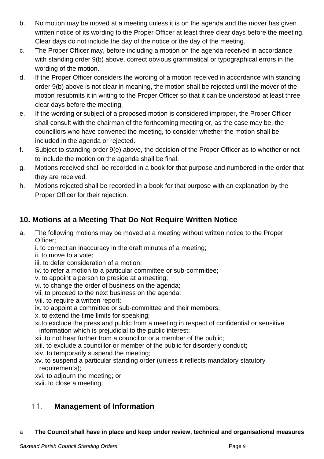- b. No motion may be moved at a meeting unless it is on the agenda and the mover has given written notice of its wording to the Proper Officer at least three clear days before the meeting. Clear days do not include the day of the notice or the day of the meeting.
- c. The Proper Officer may, before including a motion on the agenda received in accordance with standing order 9(b) above, correct obvious grammatical or typographical errors in the wording of the motion.
- d. If the Proper Officer considers the wording of a motion received in accordance with standing order 9(b) above is not clear in meaning, the motion shall be rejected until the mover of the motion resubmits it in writing to the Proper Officer so that it can be understood at least three clear days before the meeting.
- e. If the wording or subject of a proposed motion is considered improper, the Proper Officer shall consult with the chairman of the forthcoming meeting or, as the case may be, the councillors who have convened the meeting, to consider whether the motion shall be included in the agenda or rejected.
- f. Subject to standing order 9(e) above, the decision of the Proper Officer as to whether or not to include the motion on the agenda shall be final.
- g. Motions received shall be recorded in a book for that purpose and numbered in the order that they are received.
- h. Motions rejected shall be recorded in a book for that purpose with an explanation by the Proper Officer for their rejection.

### **10. Motions at a Meeting That Do Not Require Written Notice**

- a. The following motions may be moved at a meeting without written notice to the Proper Officer;
	- i. to correct an inaccuracy in the draft minutes of a meeting;
	- ii. to move to a vote;
	- iii. to defer consideration of a motion;
	- iv. to refer a motion to a particular committee or sub-committee;
	- v. to appoint a person to preside at a meeting;
	- vi. to change the order of business on the agenda;
	- vii. to proceed to the next business on the agenda;
	- viii. to require a written report;
	- ix. to appoint a committee or sub-committee and their members;
	- x. to extend the time limits for speaking;
	- xi.to exclude the press and public from a meeting in respect of confidential or sensitive information which is prejudicial to the public interest;
	- xii. to not hear further from a councillor or a member of the public;
	- xiii. to exclude a councillor or member of the public for disorderly conduct;
	- xiv. to temporarily suspend the meeting;
	- xv. to suspend a particular standing order (unless it reflects mandatory statutory requirements);
	- xvi. to adjourn the meeting; or
	- xvii. to close a meeting.

### **11. Management of Information**

#### a **The Council shall have in place and keep under review, technical and organisational measures**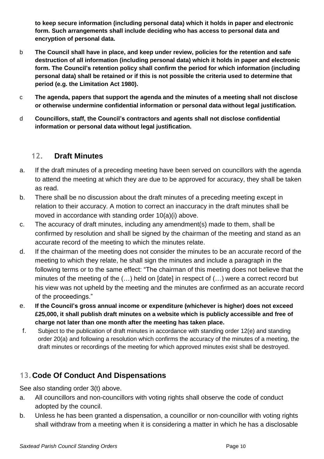**to keep secure information (including personal data) which it holds in paper and electronic form. Such arrangements shall include deciding who has access to personal data and encryption of personal data.**

- b **The Council shall have in place, and keep under review, policies for the retention and safe destruction of all information (including personal data) which it holds in paper and electronic form. The Council's retention policy shall confirm the period for which information (including personal data) shall be retained or if this is not possible the criteria used to determine that period (e.g. the Limitation Act 1980).**
- c **The agenda, papers that support the agenda and the minutes of a meeting shall not disclose or otherwise undermine confidential information or personal data without legal justification.**
- d **Councillors, staff, the Council's contractors and agents shall not disclose confidential information or personal data without legal justification.**

#### **12. Draft Minutes**

- a. If the draft minutes of a preceding meeting have been served on councillors with the agenda to attend the meeting at which they are due to be approved for accuracy, they shall be taken as read.
- b. There shall be no discussion about the draft minutes of a preceding meeting except in relation to their accuracy. A motion to correct an inaccuracy in the draft minutes shall be moved in accordance with standing order 10(a)(i) above.
- c. The accuracy of draft minutes, including any amendment(s) made to them, shall be confirmed by resolution and shall be signed by the chairman of the meeting and stand as an accurate record of the meeting to which the minutes relate.
- d. If the chairman of the meeting does not consider the minutes to be an accurate record of the meeting to which they relate, he shall sign the minutes and include a paragraph in the following terms or to the same effect: "The chairman of this meeting does not believe that the minutes of the meeting of the (…) held on [date] in respect of (…) were a correct record but his view was not upheld by the meeting and the minutes are confirmed as an accurate record of the proceedings."
- e. **If the Council's gross annual income or expenditure (whichever is higher) does not exceed £25,000, it shall publish draft minutes on a website which is publicly accessible and free of charge not later than one month after the meeting has taken place.**
- f. Subject to the publication of draft minutes in accordance with standing order 12(e) and standing order 20(a) and following a resolution which confirms the accuracy of the minutes of a meeting, the draft minutes or recordings of the meeting for which approved minutes exist shall be destroyed.

#### **13.Code Of Conduct And Dispensations**

See also standing order 3(t) above.

- a. All councillors and non-councillors with voting rights shall observe the code of conduct adopted by the council.
- b. Unless he has been granted a dispensation, a councillor or non-councillor with voting rights shall withdraw from a meeting when it is considering a matter in which he has a disclosable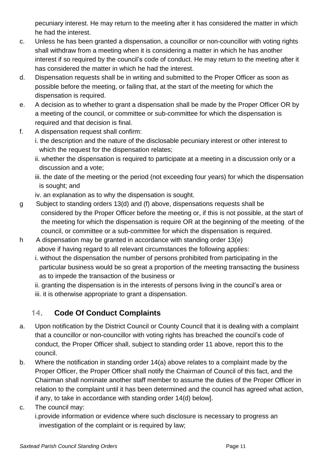pecuniary interest. He may return to the meeting after it has considered the matter in which he had the interest.

- c. Unless he has been granted a dispensation, a councillor or non-councillor with voting rights shall withdraw from a meeting when it is considering a matter in which he has another interest if so required by the council's code of conduct. He may return to the meeting after it has considered the matter in which he had the interest.
- d. Dispensation requests shall be in writing and submitted to the Proper Officer as soon as possible before the meeting, or failing that, at the start of the meeting for which the dispensation is required.
- e. A decision as to whether to grant a dispensation shall be made by the Proper Officer OR by a meeting of the council, or committee or sub-committee for which the dispensation is required and that decision is final.
- f. A dispensation request shall confirm:
	- i. the description and the nature of the disclosable pecuniary interest or other interest to which the request for the dispensation relates;
	- ii. whether the dispensation is required to participate at a meeting in a discussion only or a discussion and a vote;
	- iii. the date of the meeting or the period (not exceeding four years) for which the dispensation is sought; and
	- iv. an explanation as to why the dispensation is sought.
- g Subject to standing orders 13(d) and (f) above, dispensations requests shall be considered by the Proper Officer before the meeting or, if this is not possible, at the start of the meeting for which the dispensation is require OR at the beginning of the meeting of the council, or committee or a sub-committee for which the dispensation is required.
- h A dispensation may be granted in accordance with standing order 13(e) above if having regard to all relevant circumstances the following applies:
	- i. without the dispensation the number of persons prohibited from participating in the particular business would be so great a proportion of the meeting transacting the business as to impede the transaction of the business or
	- ii. granting the dispensation is in the interests of persons living in the council's area or iii. it is otherwise appropriate to grant a dispensation.

### **14. Code Of Conduct Complaints**

- a. Upon notification by the District Council or County Council that it is dealing with a complaint that a councillor or non-councillor with voting rights has breached the council's code of conduct, the Proper Officer shall, subject to standing order 11 above, report this to the council.
- b. Where the notification in standing order 14(a) above relates to a complaint made by the Proper Officer, the Proper Officer shall notify the Chairman of Council of this fact, and the Chairman shall nominate another staff member to assume the duties of the Proper Officer in relation to the complaint until it has been determined and the council has agreed what action, if any, to take in accordance with standing order 14(d) below].
- c. The council may:

i.provide information or evidence where such disclosure is necessary to progress an investigation of the complaint or is required by law;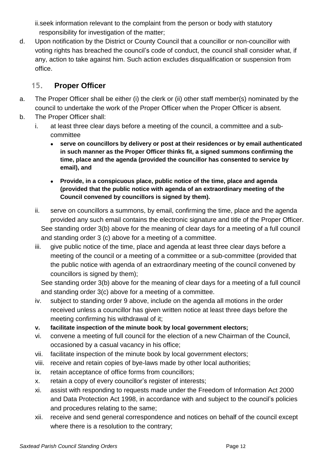ii.seek information relevant to the complaint from the person or body with statutory responsibility for investigation of the matter;

d. Upon notification by the District or County Council that a councillor or non-councillor with voting rights has breached the council's code of conduct, the council shall consider what, if any, action to take against him. Such action excludes disqualification or suspension from office.

#### **15. Proper Officer**

- a. The Proper Officer shall be either (i) the clerk or (ii) other staff member(s) nominated by the council to undertake the work of the Proper Officer when the Proper Officer is absent.
- b. The Proper Officer shall:
	- i. at least three clear days before a meeting of the council, a committee and a subcommittee
		- **serve on councillors by delivery or post at their residences or by email authenticated in such manner as the Proper Officer thinks fit, a signed summons confirming the time, place and the agenda (provided the councillor has consented to service by email), and**
		- **Provide, in a conspicuous place, public notice of the time, place and agenda (provided that the public notice with agenda of an extraordinary meeting of the Council convened by councillors is signed by them).**
	- ii. serve on councillors a summons, by email, confirming the time, place and the agenda provided any such email contains the electronic signature and title of the Proper Officer. See standing order 3(b) above for the meaning of clear days for a meeting of a full council and standing order 3 (c) above for a meeting of a committee.
	- iii. give public notice of the time, place and agenda at least three clear days before a meeting of the council or a meeting of a committee or a sub-committee (provided that the public notice with agenda of an extraordinary meeting of the council convened by councillors is signed by them);

See standing order 3(b) above for the meaning of clear days for a meeting of a full council and standing order 3(c) above for a meeting of a committee.

- iv. subject to standing order 9 above, include on the agenda all motions in the order received unless a councillor has given written notice at least three days before the meeting confirming his withdrawal of it;
- **v. facilitate inspection of the minute book by local government electors;**
- vi. convene a meeting of full council for the election of a new Chairman of the Council, occasioned by a casual vacancy in his office;
- vii. facilitate inspection of the minute book by local government electors;
- viii. receive and retain copies of bye-laws made by other local authorities;
- ix. retain acceptance of office forms from councillors;
- x. retain a copy of every councillor's register of interests;
- xi. assist with responding to requests made under the Freedom of Information Act 2000 and Data Protection Act 1998, in accordance with and subject to the council's policies and procedures relating to the same;
- xii. receive and send general correspondence and notices on behalf of the council except where there is a resolution to the contrary;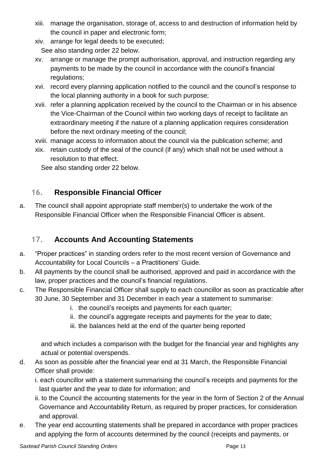- xiii. manage the organisation, storage of, access to and destruction of information held by the council in paper and electronic form;
- xiv. arrange for legal deeds to be executed; See also standing order 22 below.
- xv. arrange or manage the prompt authorisation, approval, and instruction regarding any payments to be made by the council in accordance with the council's financial regulations;
- xvi. record every planning application notified to the council and the council's response to the local planning authority in a book for such purpose;
- xvii. refer a planning application received by the council to the Chairman or in his absence the Vice-Chairman of the Council within two working days of receipt to facilitate an extraordinary meeting if the nature of a planning application requires consideration before the next ordinary meeting of the council;
- xviii. manage access to information about the council via the publication scheme; and
- xix. retain custody of the seal of the council (if any) which shall not be used without a resolution to that effect.

See also standing order 22 below.

#### **16. Responsible Financial Officer**

a. The council shall appoint appropriate staff member(s) to undertake the work of the Responsible Financial Officer when the Responsible Financial Officer is absent.

#### **17. Accounts And Accounting Statements**

- a. "Proper practices" in standing orders refer to the most recent version of Governance and Accountability for Local Councils – a Practitioners' Guide.
- b. All payments by the council shall be authorised, approved and paid in accordance with the law, proper practices and the council's financial regulations.
- c. The Responsible Financial Officer shall supply to each councillor as soon as practicable after 30 June, 30 September and 31 December in each year a statement to summarise:
	- i. the council's receipts and payments for each quarter;
	- ii. the council's aggregate receipts and payments for the year to date;
	- iii. the balances held at the end of the quarter being reported

and which includes a comparison with the budget for the financial year and highlights any actual or potential overspends.

d. As soon as possible after the financial year end at 31 March, the Responsible Financial Officer shall provide:

i. each councillor with a statement summarising the council's receipts and payments for the last quarter and the year to date for information; and

- ii. to the Council the accounting statements for the year in the form of Section 2 of the Annual Governance and Accountability Return, as required by proper practices, for consideration and approval.
- e. The year end accounting statements shall be prepared in accordance with proper practices and applying the form of accounts determined by the council (receipts and payments, or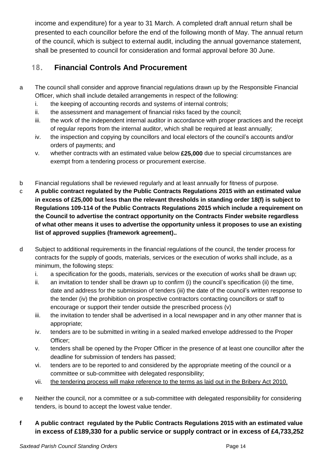income and expenditure) for a year to 31 March. A completed draft annual return shall be presented to each councillor before the end of the following month of May. The annual return of the council, which is subject to external audit, including the annual governance statement, shall be presented to council for consideration and formal approval before 30 June.

#### **18. Financial Controls And Procurement**

- a The council shall consider and approve financial regulations drawn up by the Responsible Financial Officer, which shall include detailed arrangements in respect of the following:
	- i. the keeping of accounting records and systems of internal controls;
	- ii. the assessment and management of financial risks faced by the council;
	- iii. the work of the independent internal auditor in accordance with proper practices and the receipt of regular reports from the internal auditor, which shall be required at least annually;
	- iv. the inspection and copying by councillors and local electors of the council's accounts and/or orders of payments; and
	- v. whether contracts with an estimated value below **£25,000** due to special circumstances are exempt from a tendering process or procurement exercise.
- b Financial regulations shall be reviewed regularly and at least annually for fitness of purpose.
- c **A public contract regulated by the Public Contracts Regulations 2015 with an estimated value in excess of £25,000 but less than the relevant thresholds in standing order 18(f) is subject to Regulations 109-114 of the Public Contracts Regulations 2015 which include a requirement on the Council to advertise the contract opportunity on the Contracts Finder website regardless of what other means it uses to advertise the opportunity unless it proposes to use an existing list of approved supplies (framework agreement)..**
- d Subject to additional requirements in the financial regulations of the council, the tender process for contracts for the supply of goods, materials, services or the execution of works shall include, as a minimum, the following steps:
	- i. a specification for the goods, materials, services or the execution of works shall be drawn up;
	- ii. an invitation to tender shall be drawn up to confirm (i) the council's specification (ii) the time, date and address for the submission of tenders (iii) the date of the council's written response to the tender (iv) the prohibition on prospective contractors contacting councillors or staff to encourage or support their tender outside the prescribed process (v)
	- iii. the invitation to tender shall be advertised in a local newspaper and in any other manner that is appropriate;
	- iv. tenders are to be submitted in writing in a sealed marked envelope addressed to the Proper Officer;
	- v. tenders shall be opened by the Proper Officer in the presence of at least one councillor after the deadline for submission of tenders has passed;
	- vi. tenders are to be reported to and considered by the appropriate meeting of the council or a committee or sub-committee with delegated responsibility;
	- vii. the tendering process will make reference to the terms as laid out in the Bribery Act 2010.
- e Neither the council, nor a committee or a sub-committee with delegated responsibility for considering tenders, is bound to accept the lowest value tender.
- **f A public contract regulated by the Public Contracts Regulations 2015 with an estimated value in excess of £189,330 for a public service or supply contract or in excess of £4,733,252**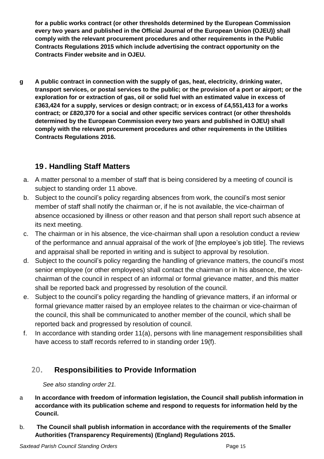**for a public works contract (or other thresholds determined by the European Commission every two years and published in the Official Journal of the European Union (OJEU)) shall comply with the relevant procurement procedures and other requirements in the Public Contracts Regulations 2015 which include advertising the contract opportunity on the Contracts Finder website and in OJEU.**

**g A public contract in connection with the supply of gas, heat, electricity, drinking water,** transport services, or postal services to the public; or the provision of a port or airport; or the **exploration for or extraction of gas, oil or solid fuel with an estimated value in excess of £363,424 for a supply, services or design contract; or in excess of £4,551,413 for a works contract; or £820,370 for a social and other specific services contract (or other thresholds determined by the European Commission every two years and published in OJEU) shall comply with the relevant procurement procedures and other requirements in the Utilities Contracts Regulations 2016.**

### **19 . Handling Staff Matters**

- a. A matter personal to a member of staff that is being considered by a meeting of council is subject to standing order 11 above.
- b. Subject to the council's policy regarding absences from work, the council's most senior member of staff shall notify the chairman or, if he is not available, the vice-chairman of absence occasioned by illness or other reason and that person shall report such absence at its next meeting.
- c. The chairman or in his absence, the vice-chairman shall upon a resolution conduct a review of the performance and annual appraisal of the work of [the employee's job title]. The reviews and appraisal shall be reported in writing and is subject to approval by resolution.
- d. Subject to the council's policy regarding the handling of grievance matters, the council's most senior employee (or other employees) shall contact the chairman or in his absence, the vicechairman of the council in respect of an informal or formal grievance matter, and this matter shall be reported back and progressed by resolution of the council.
- e. Subject to the council's policy regarding the handling of grievance matters, if an informal or formal grievance matter raised by an employee relates to the chairman or vice-chairman of the council, this shall be communicated to another member of the council, which shall be reported back and progressed by resolution of council.
- f. In accordance with standing order 11(a), persons with line management responsibilities shall have access to staff records referred to in standing order 19(f).

#### **20. Responsibilities to Provide Information**

*See also standing order 21.*

- a **In accordance with freedom of information legislation, the Council shall publish information in accordance with its publication scheme and respond to requests for information held by the Council.**
- b. **The Council shall publish information in accordance with the requirements of the Smaller Authorities (Transparency Requirements) (England) Regulations 2015.**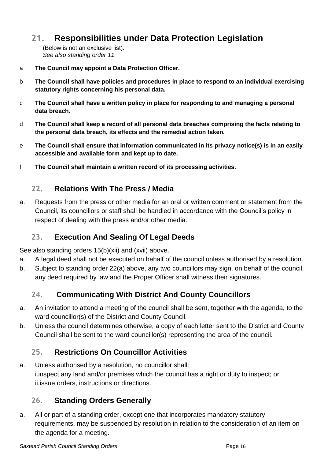## **21. Responsibilities under Data Protection Legislation**

(Below is not an exclusive list). *See also standing order 11.*

- a **The Council may appoint a Data Protection Officer.**
- b **The Council shall have policies and procedures in place to respond to an individual exercising statutory rights concerning his personal data.**
- c **The Council shall have a written policy in place for responding to and managing a personal data breach.**
- d **The Council shall keep a record of all personal data breaches comprising the facts relating to the personal data breach, its effects and the remedial action taken.**
- e **The Council shall ensure that information communicated in its privacy notice(s) is in an easily accessible and available form and kept up to date.**
- f **The Council shall maintain a written record of its processing activities.**

#### **22. Relations With The Press / Media**

a. Requests from the press or other media for an oral or written comment or statement from the Council, its councillors or staff shall be handled in accordance with the Council's policy in respect of dealing with the press and/or other media.

#### **23. Execution And Sealing Of Legal Deeds**

See also standing orders 15(b)(xii) and (xvii) above.

- a. A legal deed shall not be executed on behalf of the council unless authorised by a resolution.
- b. Subject to standing order 22(a) above, any two councillors may sign, on behalf of the council, any deed required by law and the Proper Officer shall witness their signatures.

#### **24. Communicating With District And County Councillors**

- a. An invitation to attend a meeting of the council shall be sent, together with the agenda, to the ward councillor(s) of the District and County Council.
- b. Unless the council determines otherwise, a copy of each letter sent to the District and County Council shall be sent to the ward councillor(s) representing the area of the council.

#### **25. Restrictions On Councillor Activities**

a. Unless authorised by a resolution, no councillor shall: i.inspect any land and/or premises which the council has a right or duty to inspect; or ii.issue orders, instructions or directions.

#### **26. Standing Orders Generally**

a. All or part of a standing order, except one that incorporates mandatory statutory requirements, may be suspended by resolution in relation to the consideration of an item on the agenda for a meeting.